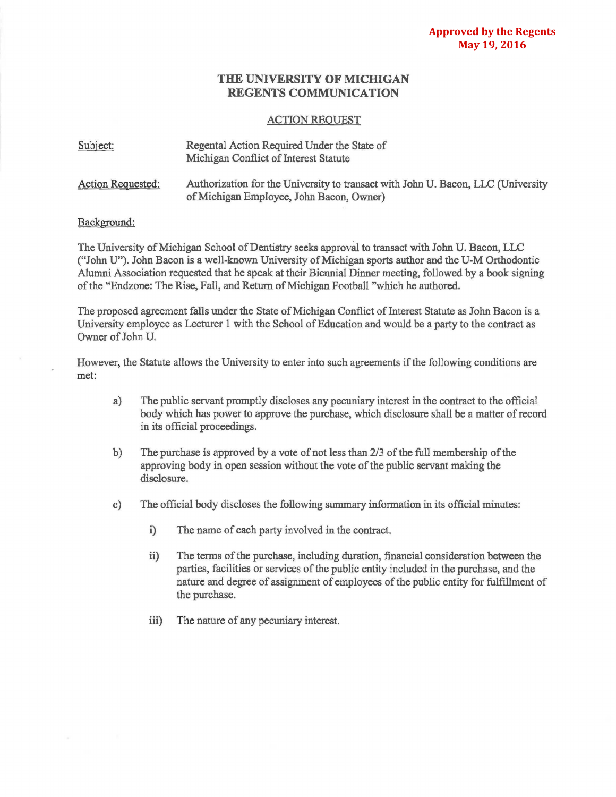## **THE UNIVERSITY OF MICHIGAN REGENTS COMMUNICATION**

## ACTION REQUEST

| Subject:          | Regental Action Required Under the State of<br>Michigan Conflict of Interest Statute                                         |
|-------------------|------------------------------------------------------------------------------------------------------------------------------|
| Action Requested: | Authorization for the University to transact with John U. Bacon, LLC (University<br>of Michigan Employee, John Bacon, Owner) |

## Background:

The University of Michigan School of Dentistry seeks approval to transact with John U. Bacon, LLC ("John U"). John Bacon is a well-known University of Michigan sports author and the U-M Orthodontic Alumni Association requested that he speak at their Biennial Dinner meeting, followed by a book signing of the "Endzone: The Rise, Fall, and Return of Michigan Football "which he authored.

The proposed agreement falls under the State of Michigan Conflict of Interest Statute as John Bacon is a University employee as Lecturer 1 with the School of Education and would be a party to the contract as Owner of John U.

However, the Statute allows the University to enter into such agreements if the following conditions are met:

- a) The public servant promptly discloses any pecuniary interest in the contract to the official body which has power to approve the purchase, which disclosure shall be a matter of record in its official proceedings.
- b) The purchase is approved by a vote of not less than 2/3 of the full membership of the approving body in open session without the vote of the public servant making the disclosure.
- c) The official body discloses the following summary infonnation in its official minutes:
	- i) The name of each party involved in the contract.
	- ii) The terms of the purchase, including duration, financial consideration between the parties, facilities or services of the public entity included in the purchase, and the nature and degree of assignment of employees of the public entity for fulfillment of the purchase.
	- iii) The nature of any pecuniary interest.